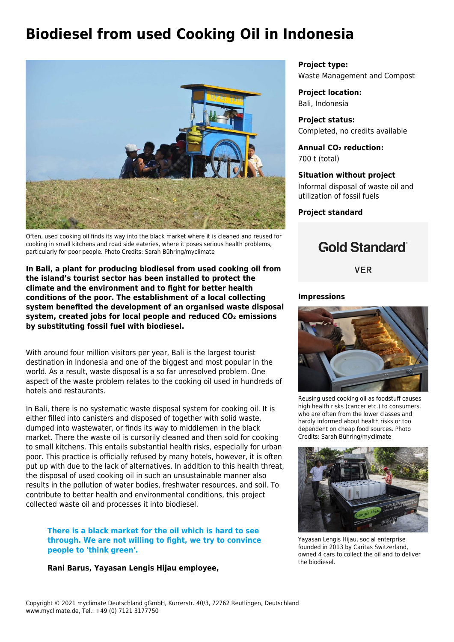# **Biodiesel from used Cooking Oil in Indonesia**



Often, used cooking oil finds its way into the black market where it is cleaned and reused for cooking in small kitchens and road side eateries, where it poses serious health problems, particularly for poor people. Photo Credits: Sarah Bühring/myclimate

**In Bali, a plant for producing biodiesel from used cooking oil from the island's tourist sector has been installed to protect the climate and the environment and to fight for better health conditions of the poor. The establishment of a local collecting system benefited the development of an organised waste disposal system, created jobs for local people and reduced CO₂ emissions by substituting fossil fuel with biodiesel.**

With around four million visitors per year, Bali is the largest tourist destination in Indonesia and one of the biggest and most popular in the world. As a result, waste disposal is a so far unresolved problem. One aspect of the waste problem relates to the cooking oil used in hundreds of hotels and restaurants.

In Bali, there is no systematic waste disposal system for cooking oil. It is either filled into canisters and disposed of together with solid waste, dumped into wastewater, or finds its way to middlemen in the black market. There the waste oil is cursorily cleaned and then sold for cooking to small kitchens. This entails substantial health risks, especially for urban poor. This practice is officially refused by many hotels, however, it is often put up with due to the lack of alternatives. In addition to this health threat, the disposal of used cooking oil in such an unsustainable manner also results in the pollution of water bodies, freshwater resources, and soil. To contribute to better health and environmental conditions, this project collected waste oil and processes it into biodiesel.

### **There is a black market for the oil which is hard to see through. We are not willing to fight, we try to convince people to 'think green'.**

#### **Rani Barus, Yayasan Lengis Hijau employee,**

**Project type:** Waste Management and Compost

**Project location:** Bali, Indonesia

**Project status:** Completed, no credits available

**Annual CO₂ reduction:** 700 t (total)

#### **Situation without project**

Informal disposal of waste oil and utilization of fossil fuels

**Project standard**

## **Gold Standard**®

**VER** 

#### **Impressions**



Reusing used cooking oil as foodstuff causes high health risks (cancer etc.) to consumers, who are often from the lower classes and hardly informed about health risks or too dependent on cheap food sources. Photo Credits: Sarah Bühring/myclimate



Yayasan Lengis Hijau, social enterprise founded in 2013 by Caritas Switzerland, owned 4 cars to collect the oil and to deliver the biodiesel.